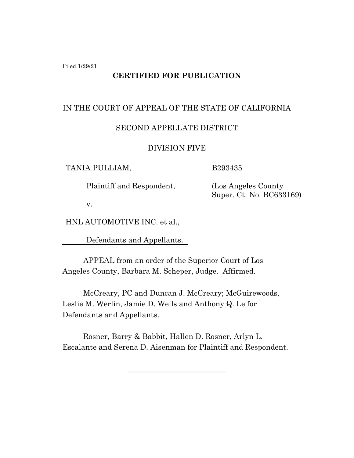Filed 1/29/21

# **CERTIFIED FOR PUBLICATION**

### IN THE COURT OF APPEAL OF THE STATE OF CALIFORNIA

## SECOND APPELLATE DISTRICT

#### DIVISION FIVE

TANIA PULLIAM,

B293435

Plaintiff and Respondent,

(Los Angeles County Super. Ct. No. BC633169)

v.

HNL AUTOMOTIVE INC. et al.,

Defendants and Appellants.

APPEAL from an order of the Superior Court of Los Angeles County, Barbara M. Scheper, Judge. Affirmed.

McCreary, PC and Duncan J. McCreary; McGuirewoods, Leslie M. Werlin, Jamie D. Wells and Anthony Q. Le for Defendants and Appellants.

Rosner, Barry & Babbit, Hallen D. Rosner, Arlyn L. Escalante and Serena D. Aisenman for Plaintiff and Respondent.

\_\_\_\_\_\_\_\_\_\_\_\_\_\_\_\_\_\_\_\_\_\_\_\_\_\_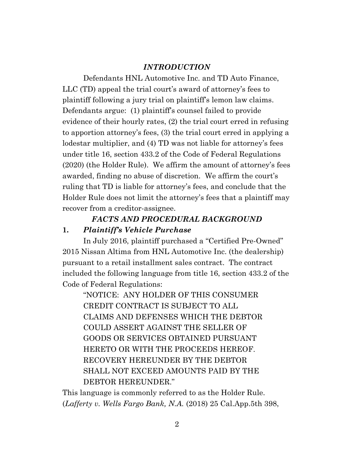## *INTRODUCTION*

Defendants HNL Automotive Inc. and TD Auto Finance, LLC (TD) appeal the trial court's award of attorney's fees to plaintiff following a jury trial on plaintiff's lemon law claims. Defendants argue: (1) plaintiff's counsel failed to provide evidence of their hourly rates, (2) the trial court erred in refusing to apportion attorney's fees, (3) the trial court erred in applying a lodestar multiplier, and (4) TD was not liable for attorney's fees under title 16, section 433.2 of the Code of Federal Regulations (2020) (the Holder Rule). We affirm the amount of attorney's fees awarded, finding no abuse of discretion. We affirm the court's ruling that TD is liable for attorney's fees, and conclude that the Holder Rule does not limit the attorney's fees that a plaintiff may recover from a creditor-assignee.

# *FACTS AND PROCEDURAL BACKGROUND*

### **1.** *Plaintiff's Vehicle Purchase*

In July 2016, plaintiff purchased a "Certified Pre-Owned" 2015 Nissan Altima from HNL Automotive Inc. (the dealership) pursuant to a retail installment sales contract. The contract included the following language from title 16, section 433.2 of the Code of Federal Regulations:

"NOTICE: ANY HOLDER OF THIS CONSUMER CREDIT CONTRACT IS SUBJECT TO ALL CLAIMS AND DEFENSES WHICH THE DEBTOR COULD ASSERT AGAINST THE SELLER OF GOODS OR SERVICES OBTAINED PURSUANT HERETO OR WITH THE PROCEEDS HEREOF. RECOVERY HEREUNDER BY THE DEBTOR SHALL NOT EXCEED AMOUNTS PAID BY THE DEBTOR HEREUNDER."

This language is commonly referred to as the Holder Rule. (*Lafferty v. Wells Fargo Bank, N.A.* (2018) 25 Cal.App.5th 398,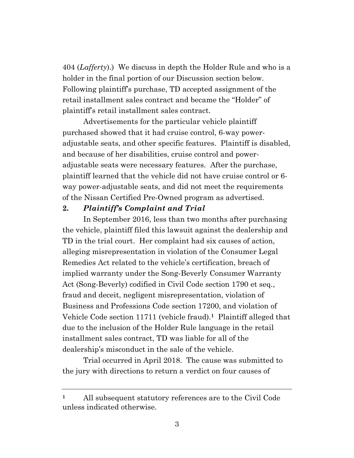404 (*Lafferty*).) We discuss in depth the Holder Rule and who is a holder in the final portion of our Discussion section below. Following plaintiff's purchase, TD accepted assignment of the retail installment sales contract and became the "Holder" of plaintiff's retail installment sales contract.

Advertisements for the particular vehicle plaintiff purchased showed that it had cruise control, 6-way poweradjustable seats, and other specific features. Plaintiff is disabled, and because of her disabilities, cruise control and poweradjustable seats were necessary features. After the purchase, plaintiff learned that the vehicle did not have cruise control or 6 way power-adjustable seats, and did not meet the requirements of the Nissan Certified Pre-Owned program as advertised.

#### **2.** *Plaintiff's Complaint and Trial*

In September 2016, less than two months after purchasing the vehicle, plaintiff filed this lawsuit against the dealership and TD in the trial court. Her complaint had six causes of action, alleging misrepresentation in violation of the Consumer Legal Remedies Act related to the vehicle's certification, breach of implied warranty under the Song-Beverly Consumer Warranty Act (Song-Beverly) codified in Civil Code section 1790 et seq., fraud and deceit, negligent misrepresentation, violation of Business and Professions Code section 17200, and violation of Vehicle Code section 11711 (vehicle fraud). **<sup>1</sup>** Plaintiff alleged that due to the inclusion of the Holder Rule language in the retail installment sales contract, TD was liable for all of the dealership's misconduct in the sale of the vehicle.

Trial occurred in April 2018. The cause was submitted to the jury with directions to return a verdict on four causes of

**<sup>1</sup>** All subsequent statutory references are to the Civil Code unless indicated otherwise.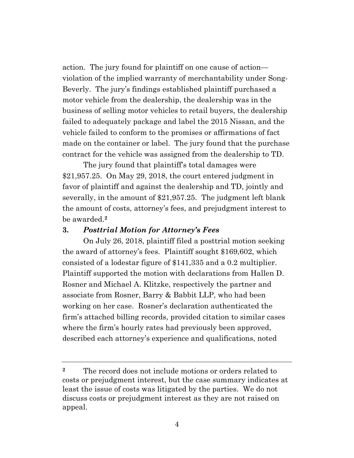action. The jury found for plaintiff on one cause of action violation of the implied warranty of merchantability under Song-Beverly. The jury's findings established plaintiff purchased a motor vehicle from the dealership, the dealership was in the business of selling motor vehicles to retail buyers, the dealership failed to adequately package and label the 2015 Nissan, and the vehicle failed to conform to the promises or affirmations of fact made on the container or label. The jury found that the purchase contract for the vehicle was assigned from the dealership to TD.

The jury found that plaintiff's total damages were \$21,957.25. On May 29, 2018, the court entered judgment in favor of plaintiff and against the dealership and TD, jointly and severally, in the amount of \$21,957.25. The judgment left blank the amount of costs, attorney's fees, and prejudgment interest to be awarded.**<sup>2</sup>**

### **3.** *Posttrial Motion for Attorney's Fees*

On July 26, 2018, plaintiff filed a posttrial motion seeking the award of attorney's fees. Plaintiff sought \$169,602, which consisted of a lodestar figure of \$141,335 and a 0.2 multiplier. Plaintiff supported the motion with declarations from Hallen D. Rosner and Michael A. Klitzke, respectively the partner and associate from Rosner, Barry & Babbit LLP, who had been working on her case. Rosner's declaration authenticated the firm's attached billing records, provided citation to similar cases where the firm's hourly rates had previously been approved, described each attorney's experience and qualifications, noted

**<sup>2</sup>** The record does not include motions or orders related to costs or prejudgment interest, but the case summary indicates at least the issue of costs was litigated by the parties. We do not discuss costs or prejudgment interest as they are not raised on appeal.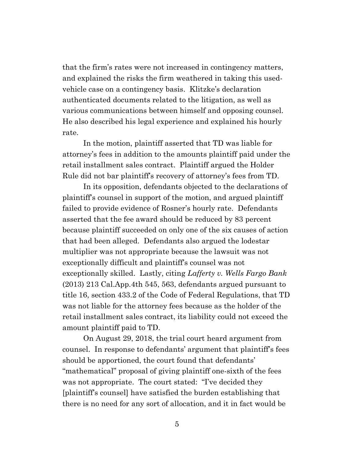that the firm's rates were not increased in contingency matters, and explained the risks the firm weathered in taking this usedvehicle case on a contingency basis. Klitzke's declaration authenticated documents related to the litigation, as well as various communications between himself and opposing counsel. He also described his legal experience and explained his hourly rate.

In the motion, plaintiff asserted that TD was liable for attorney's fees in addition to the amounts plaintiff paid under the retail installment sales contract. Plaintiff argued the Holder Rule did not bar plaintiff's recovery of attorney's fees from TD.

In its opposition, defendants objected to the declarations of plaintiff's counsel in support of the motion, and argued plaintiff failed to provide evidence of Rosner's hourly rate. Defendants asserted that the fee award should be reduced by 83 percent because plaintiff succeeded on only one of the six causes of action that had been alleged. Defendants also argued the lodestar multiplier was not appropriate because the lawsuit was not exceptionally difficult and plaintiff's counsel was not exceptionally skilled. Lastly, citing *Lafferty v. Wells Fargo Bank*  (2013) 213 Cal.App.4th 545, 563, defendants argued pursuant to title 16, section 433.2 of the Code of Federal Regulations, that TD was not liable for the attorney fees because as the holder of the retail installment sales contract, its liability could not exceed the amount plaintiff paid to TD.

On August 29, 2018, the trial court heard argument from counsel. In response to defendants' argument that plaintiff's fees should be apportioned, the court found that defendants' "mathematical" proposal of giving plaintiff one-sixth of the fees was not appropriate. The court stated: "I've decided they [plaintiff's counsel] have satisfied the burden establishing that there is no need for any sort of allocation, and it in fact would be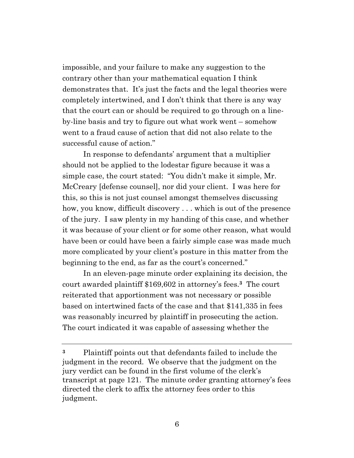impossible, and your failure to make any suggestion to the contrary other than your mathematical equation I think demonstrates that. It's just the facts and the legal theories were completely intertwined, and I don't think that there is any way that the court can or should be required to go through on a lineby-line basis and try to figure out what work went – somehow went to a fraud cause of action that did not also relate to the successful cause of action."

In response to defendants' argument that a multiplier should not be applied to the lodestar figure because it was a simple case, the court stated: "You didn't make it simple, Mr. McCreary [defense counsel], nor did your client. I was here for this, so this is not just counsel amongst themselves discussing how, you know, difficult discovery ... which is out of the presence of the jury. I saw plenty in my handing of this case, and whether it was because of your client or for some other reason, what would have been or could have been a fairly simple case was made much more complicated by your client's posture in this matter from the beginning to the end, as far as the court's concerned."

In an eleven-page minute order explaining its decision, the court awarded plaintiff \$169,602 in attorney's fees.**3** The court reiterated that apportionment was not necessary or possible based on intertwined facts of the case and that \$141,335 in fees was reasonably incurred by plaintiff in prosecuting the action. The court indicated it was capable of assessing whether the

**<sup>3</sup>** Plaintiff points out that defendants failed to include the judgment in the record. We observe that the judgment on the jury verdict can be found in the first volume of the clerk's transcript at page 121. The minute order granting attorney's fees directed the clerk to affix the attorney fees order to this judgment.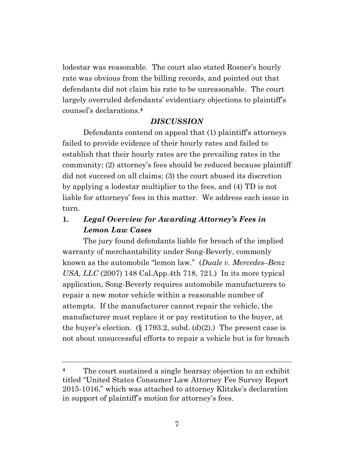lodestar was reasonable. The court also stated Rosner's hourly rate was obvious from the billing records, and pointed out that defendants did not claim his rate to be unreasonable. The court largely overruled defendants' evidentiary objections to plaintiff's counsel's declarations.**<sup>4</sup>**

### *DISCUSSION*

Defendants contend on appeal that (1) plaintiff's attorneys failed to provide evidence of their hourly rates and failed to establish that their hourly rates are the prevailing rates in the community; (2) attorney's fees should be reduced because plaintiff did not succeed on all claims; (3) the court abused its discretion by applying a lodestar multiplier to the fees, and (4) TD is not liable for attorneys' fees in this matter. We address each issue in turn.

# **1.** *Legal Overview for Awarding Attorney's Fees in Lemon Law Cases*

The jury found defendants liable for breach of the implied warranty of merchantability under Song-Beverly, commonly known as the automobile "lemon law." (*Duale v. Mercedes–Benz USA, LLC* (2007) 148 Cal.App.4th 718, 721.) In its more typical application, Song-Beverly requires automobile manufacturers to repair a new motor vehicle within a reasonable number of attempts. If the manufacturer cannot repair the vehicle, the manufacturer must replace it or pay restitution to the buyer, at the buyer's election.  $(\S 1793.2, \text{subd}, (\text{d})(2))$ . The present case is not about unsuccessful efforts to repair a vehicle but is for breach

**<sup>4</sup>** The court sustained a single hearsay objection to an exhibit titled "United States Consumer Law Attorney Fee Survey Report 2015-1016," which was attached to attorney Klitzke's declaration in support of plaintiff's motion for attorney's fees.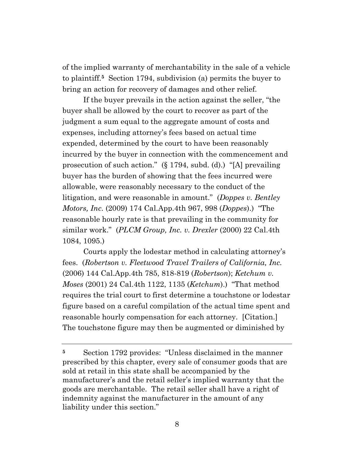of the implied warranty of merchantability in the sale of a vehicle to plaintiff.**<sup>5</sup>** Section 1794, subdivision (a) permits the buyer to bring an action for recovery of damages and other relief.

If the buyer prevails in the action against the seller, "the buyer shall be allowed by the court to recover as part of the judgment a sum equal to the aggregate amount of costs and expenses, including attorney's fees based on actual time expended, determined by the court to have been reasonably incurred by the buyer in connection with the commencement and prosecution of such action." (§ 1794, subd. (d).) "[A] prevailing buyer has the burden of showing that the fees incurred were allowable, were reasonably necessary to the conduct of the litigation, and were reasonable in amount." (*Doppes v. Bentley Motors, Inc.* (2009) 174 Cal.App.4th 967, 998 (*Doppes*).) "The reasonable hourly rate is that prevailing in the community for similar work." (*PLCM Group, Inc. v. Drexler* (2000) 22 Cal.4th 1084, 1095.)

Courts apply the lodestar method in calculating attorney's fees. (*Robertson v. Fleetwood Travel Trailers of California, Inc.* (2006) 144 Cal.App.4th 785, 818-819 (*Robertson*); *Ketchum v. Moses* (2001) 24 Cal.4th 1122, 1135 (*Ketchum*).) "That method requires the trial court to first determine a touchstone or lodestar figure based on a careful compilation of the actual time spent and reasonable hourly compensation for each attorney. [Citation.] The touchstone figure may then be augmented or diminished by

**<sup>5</sup>** Section 1792 provides: "Unless disclaimed in the manner prescribed by this chapter, every sale of consumer goods that are sold at retail in this state shall be accompanied by the manufacturer's and the retail seller's implied warranty that the goods are merchantable. The retail seller shall have a right of indemnity against the manufacturer in the amount of any liability under this section."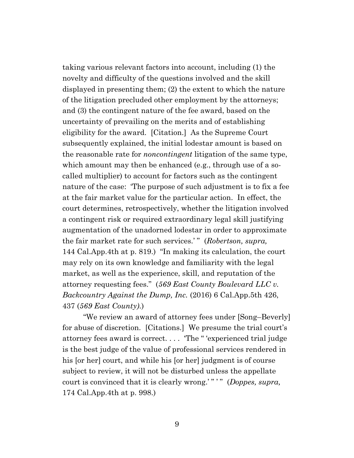taking various relevant factors into account, including (1) the novelty and difficulty of the questions involved and the skill displayed in presenting them; (2) the extent to which the nature of the litigation precluded other employment by the attorneys; and (3) the contingent nature of the fee award, based on the uncertainty of prevailing on the merits and of establishing eligibility for the award. [Citation.] As the Supreme Court subsequently explained, the initial lodestar amount is based on the reasonable rate for *noncontingent* litigation of the same type, which amount may then be enhanced (e.g., through use of a socalled multiplier) to account for factors such as the contingent nature of the case: 'The purpose of such adjustment is to fix a fee at the fair market value for the particular action. In effect, the court determines, retrospectively, whether the litigation involved a contingent risk or required extraordinary legal skill justifying augmentation of the unadorned lodestar in order to approximate the fair market rate for such services.' " (*Robertson, supra,* 144 Cal.App.4th at p. 819.) "In making its calculation, the court may rely on its own knowledge and familiarity with the legal market, as well as the experience, skill, and reputation of the attorney requesting fees." (*569 East County Boulevard LLC v. Backcountry Against the Dump, Inc.* (2016) 6 Cal.App.5th 426, 437 (*569 East County)*.)

"We review an award of attorney fees under [Song–Beverly] for abuse of discretion. [Citations.] We presume the trial court's attorney fees award is correct. . . . 'The " 'experienced trial judge is the best judge of the value of professional services rendered in his [or her] court, and while his [or her] judgment is of course subject to review, it will not be disturbed unless the appellate court is convinced that it is clearly wrong.' " ' " (*Doppes, supra,*  174 Cal.App.4th at p. 998.)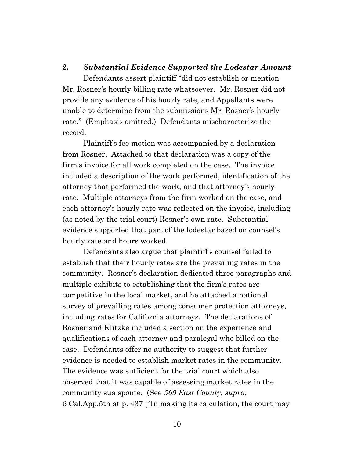#### **2.** *Substantial Evidence Supported the Lodestar Amount*

Defendants assert plaintiff "did not establish or mention Mr. Rosner's hourly billing rate whatsoever. Mr. Rosner did not provide any evidence of his hourly rate, and Appellants were unable to determine from the submissions Mr. Rosner's hourly rate." (Emphasis omitted.) Defendants mischaracterize the record.

Plaintiff's fee motion was accompanied by a declaration from Rosner. Attached to that declaration was a copy of the firm's invoice for all work completed on the case. The invoice included a description of the work performed, identification of the attorney that performed the work, and that attorney's hourly rate. Multiple attorneys from the firm worked on the case, and each attorney's hourly rate was reflected on the invoice, including (as noted by the trial court) Rosner's own rate. Substantial evidence supported that part of the lodestar based on counsel's hourly rate and hours worked.

Defendants also argue that plaintiff's counsel failed to establish that their hourly rates are the prevailing rates in the community. Rosner's declaration dedicated three paragraphs and multiple exhibits to establishing that the firm's rates are competitive in the local market, and he attached a national survey of prevailing rates among consumer protection attorneys, including rates for California attorneys. The declarations of Rosner and Klitzke included a section on the experience and qualifications of each attorney and paralegal who billed on the case. Defendants offer no authority to suggest that further evidence is needed to establish market rates in the community. The evidence was sufficient for the trial court which also observed that it was capable of assessing market rates in the community sua sponte. (See *569 East County, supra,* 6 Cal.App.5th at p. 437 ["In making its calculation, the court may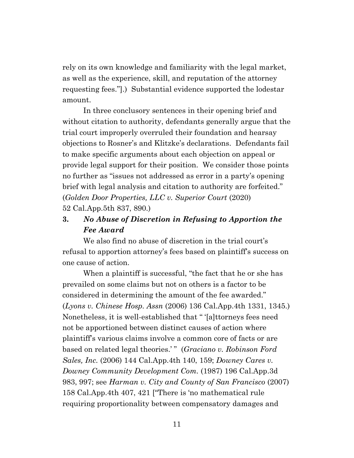rely on its own knowledge and familiarity with the legal market, as well as the experience, skill, and reputation of the attorney requesting fees."].) Substantial evidence supported the lodestar amount.

In three conclusory sentences in their opening brief and without citation to authority, defendants generally argue that the trial court improperly overruled their foundation and hearsay objections to Rosner's and Klitzke's declarations. Defendants fail to make specific arguments about each objection on appeal or provide legal support for their position. We consider those points no further as "issues not addressed as error in a party's opening brief with legal analysis and citation to authority are forfeited." (*Golden Door Properties, LLC v. Superior Court* (2020) 52 Cal.App.5th 837, 890.)

# **3.** *No Abuse of Discretion in Refusing to Apportion the Fee Award*

We also find no abuse of discretion in the trial court's refusal to apportion attorney's fees based on plaintiff's success on one cause of action.

When a plaintiff is successful, "the fact that he or she has prevailed on some claims but not on others is a factor to be considered in determining the amount of the fee awarded." (*Lyons v. Chinese Hosp. Assn* (2006) 136 Cal.App.4th 1331, 1345.) Nonetheless, it is well-established that " '[a]ttorneys fees need not be apportioned between distinct causes of action where plaintiff's various claims involve a common core of facts or are based on related legal theories.'" (*Graciano v. Robinson Ford Sales, Inc.* (2006) 144 Cal.App.4th 140, 159; *Downey Cares v. Downey Community Development Com.* (1987) 196 Cal.App.3d 983, 997; see *Harman v. City and County of San Francisco* (2007) 158 Cal.App.4th 407, 421 ["There is 'no mathematical rule requiring proportionality between compensatory damages and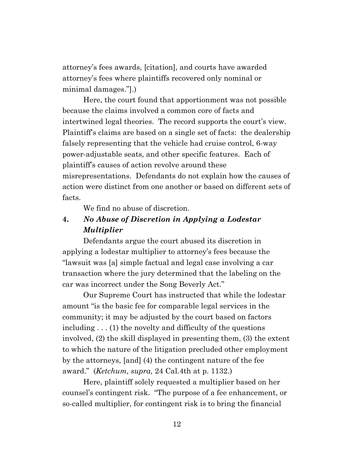attorney's fees awards, [citation], and courts have awarded attorney's fees where plaintiffs recovered only nominal or minimal damages."].)

Here, the court found that apportionment was not possible because the claims involved a common core of facts and intertwined legal theories. The record supports the court's view. Plaintiff's claims are based on a single set of facts: the dealership falsely representing that the vehicle had cruise control, 6-way power-adjustable seats, and other specific features. Each of plaintiff's causes of action revolve around these misrepresentations. Defendants do not explain how the causes of action were distinct from one another or based on different sets of facts.

We find no abuse of discretion.

# **4.** *No Abuse of Discretion in Applying a Lodestar Multiplier*

Defendants argue the court abused its discretion in applying a lodestar multiplier to attorney's fees because the "lawsuit was [a] simple factual and legal case involving a car transaction where the jury determined that the labeling on the car was incorrect under the Song Beverly Act."

Our Supreme Court has instructed that while the lodestar amount "is the basic fee for comparable legal services in the community; it may be adjusted by the court based on factors including . . . (1) the novelty and difficulty of the questions involved, (2) the skill displayed in presenting them, (3) the extent to which the nature of the litigation precluded other employment by the attorneys, [and] (4) the contingent nature of the fee award." (*Ketchum, supra,* 24 Cal.4th at p. 1132.)

Here, plaintiff solely requested a multiplier based on her counsel's contingent risk. "The purpose of a fee enhancement, or so-called multiplier, for contingent risk is to bring the financial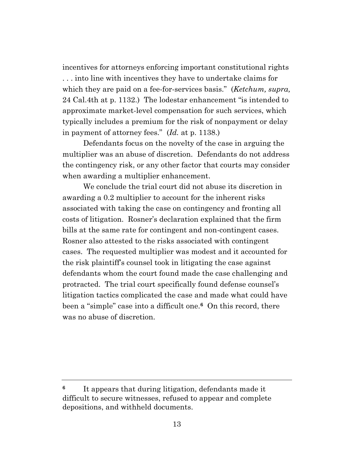incentives for attorneys enforcing important constitutional rights . . . into line with incentives they have to undertake claims for which they are paid on a fee-for-services basis." (*Ketchum, supra,* 24 Cal.4th at p. 1132.) The lodestar enhancement "is intended to approximate market-level compensation for such services, which typically includes a premium for the risk of nonpayment or delay in payment of attorney fees." (*Id.* at p. 1138.)

Defendants focus on the novelty of the case in arguing the multiplier was an abuse of discretion. Defendants do not address the contingency risk, or any other factor that courts may consider when awarding a multiplier enhancement.

We conclude the trial court did not abuse its discretion in awarding a 0.2 multiplier to account for the inherent risks associated with taking the case on contingency and fronting all costs of litigation. Rosner's declaration explained that the firm bills at the same rate for contingent and non-contingent cases. Rosner also attested to the risks associated with contingent cases. The requested multiplier was modest and it accounted for the risk plaintiff's counsel took in litigating the case against defendants whom the court found made the case challenging and protracted. The trial court specifically found defense counsel's litigation tactics complicated the case and made what could have been a "simple" case into a difficult one.**6** On this record, there was no abuse of discretion.

**<sup>6</sup>** It appears that during litigation, defendants made it difficult to secure witnesses, refused to appear and complete depositions, and withheld documents.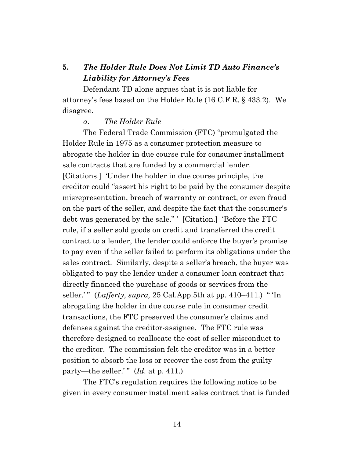# **5.** *The Holder Rule Does Not Limit TD Auto Finance's Liability for Attorney's Fees*

Defendant TD alone argues that it is not liable for attorney's fees based on the Holder Rule (16 C.F.R. § 433.2). We disagree.

#### *a. The Holder Rule*

The Federal Trade Commission (FTC) "promulgated the Holder Rule in 1975 as a consumer protection measure to abrogate the holder in due course rule for consumer installment sale contracts that are funded by a commercial lender. [Citations.] 'Under the holder in due course principle, the creditor could "assert his right to be paid by the consumer despite misrepresentation, breach of warranty or contract, or even fraud on the part of the seller, and despite the fact that the consumer's debt was generated by the sale." ' [Citation.] 'Before the FTC rule, if a seller sold goods on credit and transferred the credit contract to a lender, the lender could enforce the buyer's promise to pay even if the seller failed to perform its obligations under the sales contract. Similarly, despite a seller's breach, the buyer was obligated to pay the lender under a consumer loan contract that directly financed the purchase of goods or services from the seller.' " (*Lafferty, supra,* 25 Cal.App.5th at pp. 410–411.) " 'In abrogating the holder in due course rule in consumer credit transactions, the FTC preserved the consumer's claims and defenses against the creditor-assignee. The FTC rule was therefore designed to reallocate the cost of seller misconduct to the creditor. The commission felt the creditor was in a better position to absorb the loss or recover the cost from the guilty party—the seller.'" (*Id.* at p. 411.)

The FTC's regulation requires the following notice to be given in every consumer installment sales contract that is funded

14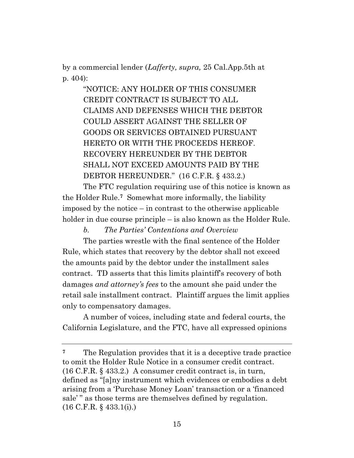by a commercial lender (*Lafferty, supra,* 25 Cal.App.5th at p. 404):

> "NOTICE: ANY HOLDER OF THIS CONSUMER CREDIT CONTRACT IS SUBJECT TO ALL CLAIMS AND DEFENSES WHICH THE DEBTOR COULD ASSERT AGAINST THE SELLER OF GOODS OR SERVICES OBTAINED PURSUANT HERETO OR WITH THE PROCEEDS HEREOF. RECOVERY HEREUNDER BY THE DEBTOR SHALL NOT EXCEED AMOUNTS PAID BY THE DEBTOR HEREUNDER." (16 C.F.R. § 433.2.)

The FTC regulation requiring use of this notice is known as the Holder Rule.**7** Somewhat more informally, the liability imposed by the notice – in contrast to the otherwise applicable holder in due course principle – is also known as the Holder Rule.

*b. The Parties' Contentions and Overview* 

The parties wrestle with the final sentence of the Holder Rule, which states that recovery by the debtor shall not exceed the amounts paid by the debtor under the installment sales contract. TD asserts that this limits plaintiff's recovery of both damages *and attorney's fees* to the amount she paid under the retail sale installment contract. Plaintiff argues the limit applies only to compensatory damages.

A number of voices, including state and federal courts, the California Legislature, and the FTC, have all expressed opinions

**<sup>7</sup>** The Regulation provides that it is a deceptive trade practice to omit the Holder Rule Notice in a consumer credit contract. (16 C.F.R. § 433.2.) A consumer credit contract is, in turn, defined as "[a]ny instrument which evidences or embodies a debt arising from a 'Purchase Money Loan' transaction or a 'financed sale'" as those terms are themselves defined by regulation. (16 C.F.R. § 433.1(i).)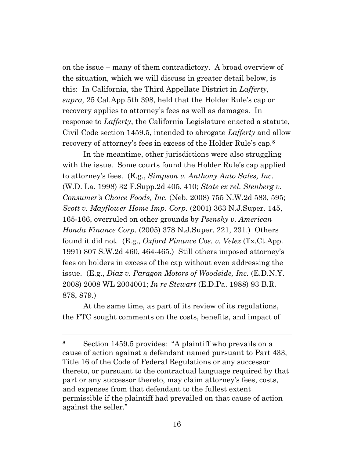on the issue – many of them contradictory. A broad overview of the situation, which we will discuss in greater detail below, is this: In California, the Third Appellate District in *Lafferty, supra,* 25 Cal.App.5th 398, held that the Holder Rule's cap on recovery applies to attorney's fees as well as damages. In response to *Lafferty*, the California Legislature enacted a statute, Civil Code section 1459.5, intended to abrogate *Lafferty* and allow recovery of attorney's fees in excess of the Holder Rule's cap.**<sup>8</sup>**

In the meantime, other jurisdictions were also struggling with the issue. Some courts found the Holder Rule's cap applied to attorney's fees. (E.g., *Simpson v. Anthony Auto Sales, Inc.* (W.D. La. 1998) 32 F.Supp.2d 405, 410; *State ex rel. Stenberg v. Consumer's Choice Foods, Inc.* (Neb. 2008) 755 N.W.2d 583, 595; *Scott v. Mayflower Home Imp. Corp.* (2001) 363 N.J.Super. 145, 165-166, overruled on other grounds by *Psensky v. American Honda Finance Corp.* (2005) 378 N.J.Super. 221, 231.) Others found it did not. (E.g., *Oxford Finance Cos. v. Velez* (Tx.Ct.App. 1991) 807 S.W.2d 460, 464-465.) Still others imposed attorney's fees on holders in excess of the cap without even addressing the issue. (E.g., *Diaz v. Paragon Motors of Woodside, Inc.* (E.D.N.Y. 2008) 2008 WL 2004001; *In re Stewart* (E.D.Pa. 1988) 93 B.R. 878, 879.)

At the same time, as part of its review of its regulations, the FTC sought comments on the costs, benefits, and impact of

**<sup>8</sup>** Section 1459.5 provides: "A plaintiff who prevails on a cause of action against a defendant named pursuant to Part 433, Title 16 of the Code of Federal Regulations or any successor thereto, or pursuant to the contractual language required by that part or any successor thereto, may claim attorney's fees, costs, and expenses from that defendant to the fullest extent permissible if the plaintiff had prevailed on that cause of action against the seller."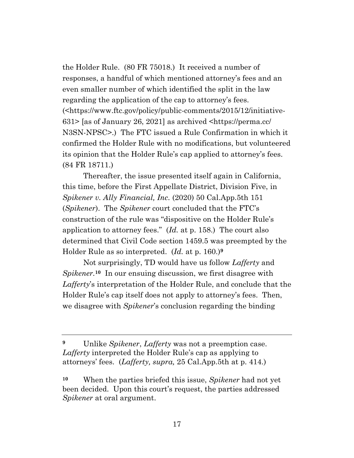the Holder Rule. (80 FR 75018.) It received a number of responses, a handful of which mentioned attorney's fees and an even smaller number of which identified the split in the law regarding the application of the cap to attorney's fees. (<https://www.ftc.gov/policy/public-comments/2015/12/initiative-631> [as of January 26, 2021] as archived <https://perma.cc/ N3SN-NPSC>.) The FTC issued a Rule Confirmation in which it confirmed the Holder Rule with no modifications, but volunteered its opinion that the Holder Rule's cap applied to attorney's fees. (84 FR 18711.)

Thereafter, the issue presented itself again in California, this time, before the First Appellate District, Division Five, in *Spikener v. Ally Financial, Inc.* (2020) 50 Cal.App.5th 151 (*Spikener*). The *Spikener* court concluded that the FTC's construction of the rule was "dispositive on the Holder Rule's application to attorney fees." (*Id.* at p. 158.) The court also determined that Civil Code section 1459.5 was preempted by the Holder Rule as so interpreted. (*Id.* at p. 160.)**<sup>9</sup>**

Not surprisingly, TD would have us follow *Lafferty* and *Spikener.***10** In our ensuing discussion, we first disagree with *Lafferty*'s interpretation of the Holder Rule, and conclude that the Holder Rule's cap itself does not apply to attorney's fees. Then, we disagree with *Spikener*'s conclusion regarding the binding

**<sup>9</sup>** Unlike *Spikener*, *Lafferty* was not a preemption case. *Lafferty* interpreted the Holder Rule's cap as applying to attorneys' fees. (*Lafferty, supra,* 25 Cal.App.5th at p. 414.)

**<sup>10</sup>** When the parties briefed this issue, *Spikener* had not yet been decided. Upon this court's request, the parties addressed *Spikener* at oral argument.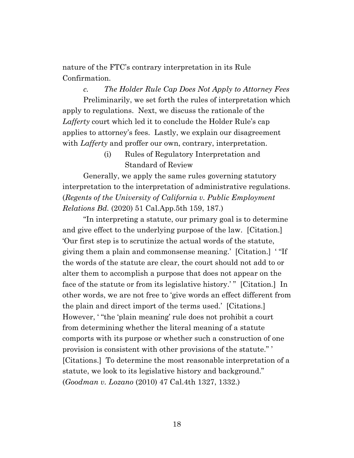nature of the FTC's contrary interpretation in its Rule Confirmation.

*c. The Holder Rule Cap Does Not Apply to Attorney Fees* Preliminarily, we set forth the rules of interpretation which apply to regulations. Next, we discuss the rationale of the *Lafferty* court which led it to conclude the Holder Rule's cap applies to attorney's fees. Lastly, we explain our disagreement with *Lafferty* and proffer our own, contrary, interpretation.

> (i) Rules of Regulatory Interpretation and Standard of Review

Generally, we apply the same rules governing statutory interpretation to the interpretation of administrative regulations. (*Regents of the University of California v. Public Employment Relations Bd.* (2020) 51 Cal.App.5th 159, 187.)

"In interpreting a statute, our primary goal is to determine and give effect to the underlying purpose of the law. [Citation.] 'Our first step is to scrutinize the actual words of the statute, giving them a plain and commonsense meaning.' [Citation.] ' "If the words of the statute are clear, the court should not add to or alter them to accomplish a purpose that does not appear on the face of the statute or from its legislative history.'" [Citation.] In other words, we are not free to 'give words an effect different from the plain and direct import of the terms used.' [Citations.] However, ' "the 'plain meaning' rule does not prohibit a court from determining whether the literal meaning of a statute comports with its purpose or whether such a construction of one provision is consistent with other provisions of the statute." ' [Citations.] To determine the most reasonable interpretation of a statute, we look to its legislative history and background." (*Goodman v. Lozano* (2010) 47 Cal.4th 1327, 1332.)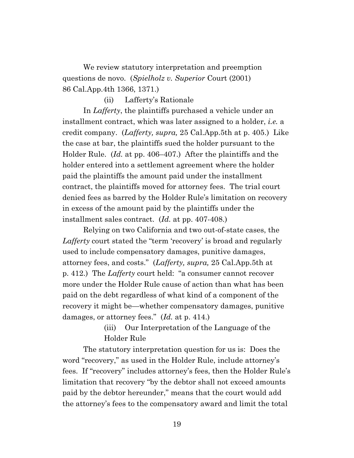We review statutory interpretation and preemption questions de novo. (*Spielholz v. Superior* Court (2001) 86 Cal.App.4th 1366, 1371.)

(ii) Lafferty's Rationale

In *Lafferty*, the plaintiffs purchased a vehicle under an installment contract, which was later assigned to a holder, *i.e.* a credit company. (*Lafferty, supra,* 25 Cal.App.5th at p. 405.) Like the case at bar, the plaintiffs sued the holder pursuant to the Holder Rule. (*Id.* at pp. 406–407.) After the plaintiffs and the holder entered into a settlement agreement where the holder paid the plaintiffs the amount paid under the installment contract, the plaintiffs moved for attorney fees. The trial court denied fees as barred by the Holder Rule's limitation on recovery in excess of the amount paid by the plaintiffs under the installment sales contract. (*Id.* at pp. 407-408.)

Relying on two California and two out-of-state cases, the *Lafferty* court stated the "term 'recovery' is broad and regularly used to include compensatory damages, punitive damages, attorney fees, and costs." (*Lafferty, supra,* 25 Cal.App.5th at p. 412.) The *Lafferty* court held: "a consumer cannot recover more under the Holder Rule cause of action than what has been paid on the debt regardless of what kind of a component of the recovery it might be—whether compensatory damages, punitive damages, or attorney fees." (*Id.* at p. 414.)

> (iii) Our Interpretation of the Language of the Holder Rule

The statutory interpretation question for us is: Does the word "recovery," as used in the Holder Rule, include attorney's fees. If "recovery" includes attorney's fees, then the Holder Rule's limitation that recovery "by the debtor shall not exceed amounts paid by the debtor hereunder," means that the court would add the attorney's fees to the compensatory award and limit the total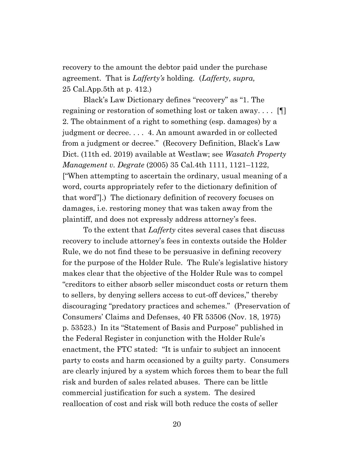recovery to the amount the debtor paid under the purchase agreement. That is *Lafferty's* holding*.* (*Lafferty, supra,*  25 Cal.App.5th at p. 412.)

Black's Law Dictionary defines "recovery" as "1. The regaining or restoration of something lost or taken away. . . . [¶] 2. The obtainment of a right to something (esp. damages) by a judgment or decree. . . . 4. An amount awarded in or collected from a judgment or decree." (Recovery Definition, Black's Law Dict. (11th ed. 2019) available at Westlaw; see *Wasatch Property Management v. Degrate* (2005) 35 Cal.4th 1111, 1121–1122, ["When attempting to ascertain the ordinary, usual meaning of a word, courts appropriately refer to the dictionary definition of that word"].) The dictionary definition of recovery focuses on damages, i.e. restoring money that was taken away from the plaintiff, and does not expressly address attorney's fees.

To the extent that *Lafferty* cites several cases that discuss recovery to include attorney's fees in contexts outside the Holder Rule, we do not find these to be persuasive in defining recovery for the purpose of the Holder Rule. The Rule's legislative history makes clear that the objective of the Holder Rule was to compel "creditors to either absorb seller misconduct costs or return them to sellers, by denying sellers access to cut-off devices," thereby discouraging "predatory practices and schemes." (Preservation of Consumers' Claims and Defenses, 40 FR 53506 (Nov. 18, 1975) p. 53523.) In its "Statement of Basis and Purpose" published in the Federal Register in conjunction with the Holder Rule's enactment, the FTC stated: "It is unfair to subject an innocent party to costs and harm occasioned by a guilty party. Consumers are clearly injured by a system which forces them to bear the full risk and burden of sales related abuses. There can be little commercial justification for such a system. The desired reallocation of cost and risk will both reduce the costs of seller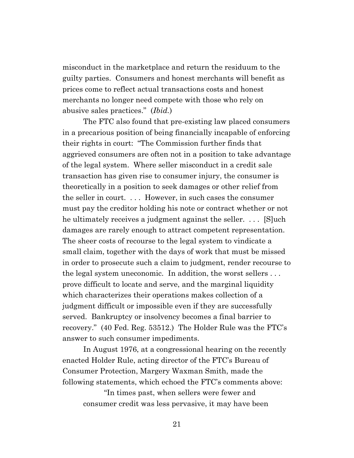misconduct in the marketplace and return the residuum to the guilty parties. Consumers and honest merchants will benefit as prices come to reflect actual transactions costs and honest merchants no longer need compete with those who rely on abusive sales practices." (*Ibid.*)

The FTC also found that pre-existing law placed consumers in a precarious position of being financially incapable of enforcing their rights in court: "The Commission further finds that aggrieved consumers are often not in a position to take advantage of the legal system. Where seller misconduct in a credit sale transaction has given rise to consumer injury, the consumer is theoretically in a position to seek damages or other relief from the seller in court. . . . However, in such cases the consumer must pay the creditor holding his note or contract whether or not he ultimately receives a judgment against the seller. . . . [S]uch damages are rarely enough to attract competent representation. The sheer costs of recourse to the legal system to vindicate a small claim, together with the days of work that must be missed in order to prosecute such a claim to judgment, render recourse to the legal system uneconomic. In addition, the worst sellers . . . prove difficult to locate and serve, and the marginal liquidity which characterizes their operations makes collection of a judgment difficult or impossible even if they are successfully served. Bankruptcy or insolvency becomes a final barrier to recovery." (40 Fed. Reg. 53512.) The Holder Rule was the FTC's answer to such consumer impediments.

In August 1976, at a congressional hearing on the recently enacted Holder Rule, acting director of the FTC's Bureau of Consumer Protection, Margery Waxman Smith, made the following statements, which echoed the FTC's comments above:

"In times past, when sellers were fewer and consumer credit was less pervasive, it may have been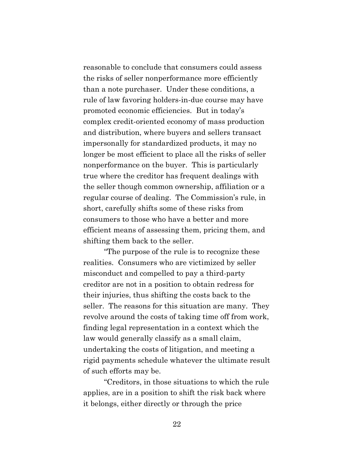reasonable to conclude that consumers could assess the risks of seller nonperformance more efficiently than a note purchaser. Under these conditions, a rule of law favoring holders-in-due course may have promoted economic efficiencies. But in today's complex credit-oriented economy of mass production and distribution, where buyers and sellers transact impersonally for standardized products, it may no longer be most efficient to place all the risks of seller nonperformance on the buyer. This is particularly true where the creditor has frequent dealings with the seller though common ownership, affiliation or a regular course of dealing. The Commission's rule, in short, carefully shifts some of these risks from consumers to those who have a better and more efficient means of assessing them, pricing them, and shifting them back to the seller.

"The purpose of the rule is to recognize these realities. Consumers who are victimized by seller misconduct and compelled to pay a third-party creditor are not in a position to obtain redress for their injuries, thus shifting the costs back to the seller. The reasons for this situation are many. They revolve around the costs of taking time off from work, finding legal representation in a context which the law would generally classify as a small claim, undertaking the costs of litigation, and meeting a rigid payments schedule whatever the ultimate result of such efforts may be.

"Creditors, in those situations to which the rule applies, are in a position to shift the risk back where it belongs, either directly or through the price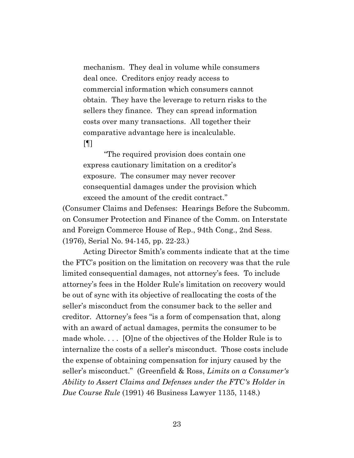mechanism. They deal in volume while consumers deal once. Creditors enjoy ready access to commercial information which consumers cannot obtain. They have the leverage to return risks to the sellers they finance. They can spread information costs over many transactions. All together their comparative advantage here is incalculable.  $[9]$ 

"The required provision does contain one express cautionary limitation on a creditor's exposure. The consumer may never recover consequential damages under the provision which exceed the amount of the credit contract."

(Consumer Claims and Defenses: Hearings Before the Subcomm. on Consumer Protection and Finance of the Comm. on Interstate and Foreign Commerce House of Rep., 94th Cong., 2nd Sess. (1976), Serial No. 94-145, pp. 22-23.)

Acting Director Smith's comments indicate that at the time the FTC's position on the limitation on recovery was that the rule limited consequential damages, not attorney's fees. To include attorney's fees in the Holder Rule's limitation on recovery would be out of sync with its objective of reallocating the costs of the seller's misconduct from the consumer back to the seller and creditor. Attorney's fees "is a form of compensation that, along with an award of actual damages, permits the consumer to be made whole. . . . [O]ne of the objectives of the Holder Rule is to internalize the costs of a seller's misconduct. Those costs include the expense of obtaining compensation for injury caused by the seller's misconduct." (Greenfield & Ross, *Limits on a Consumer's Ability to Assert Claims and Defenses under the FTC's Holder in Due Course Rule* (1991) 46 Business Lawyer 1135, 1148.)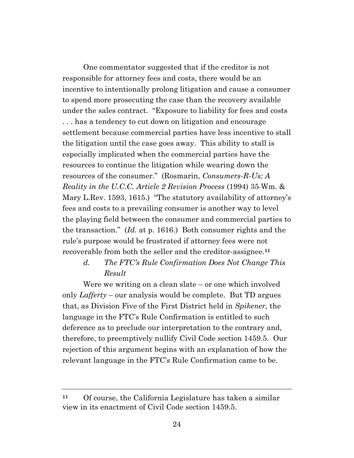One commentator suggested that if the creditor is not responsible for attorney fees and costs, there would be an incentive to intentionally prolong litigation and cause a consumer to spend more prosecuting the case than the recovery available under the sales contract. "Exposure to liability for fees and costs . . . has a tendency to cut down on litigation and encourage settlement because commercial parties have less incentive to stall the litigation until the case goes away. This ability to stall is especially implicated when the commercial parties have the resources to continue the litigation while wearing down the resources of the consumer." (Rosmarin, *Consumers-R-Us: A Reality in the U.C.C. Article 2 Revision Process* (1994) 35 Wm. & Mary L.Rev. 1593, 1615.) "The statutory availability of attorney's fees and costs to a prevailing consumer is another way to level the playing field between the consumer and commercial parties to the transaction." (*Id.* at p. 1616.) Both consumer rights and the rule's purpose would be frustrated if attorney fees were not recoverable from both the seller and the creditor-assignee.**<sup>11</sup>**

# *d. The FTC's Rule Confirmation Does Not Change This Result*

Were we writing on a clean slate – or one which involved only *Lafferty* – our analysis would be complete. But TD argues that, as Division Five of the First District held in *Spikener*, the language in the FTC's Rule Confirmation is entitled to such deference as to preclude our interpretation to the contrary and, therefore, to preemptively nullify Civil Code section 1459.5. Our rejection of this argument begins with an explanation of how the relevant language in the FTC's Rule Confirmation came to be.

**<sup>11</sup>** Of course, the California Legislature has taken a similar view in its enactment of Civil Code section 1459.5.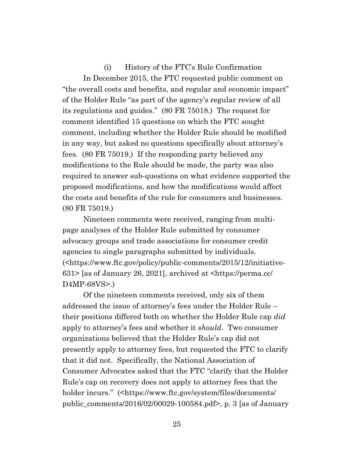(i) History of the FTC's Rule Confirmation In December 2015, the FTC requested public comment on "the overall costs and benefits, and regular and economic impact" of the Holder Rule "as part of the agency's regular review of all its regulations and guides." (80 FR 75018.) The request for comment identified 15 questions on which the FTC sought comment, including whether the Holder Rule should be modified in any way, but asked no questions specifically about attorney's fees. (80 FR 75019.) If the responding party believed any modifications to the Rule should be made, the party was also required to answer sub-questions on what evidence supported the proposed modifications, and how the modifications would affect the costs and benefits of the rule for consumers and businesses. (80 FR 75019.)

Nineteen comments were received, ranging from multipage analyses of the Holder Rule submitted by consumer advocacy groups and trade associations for consumer credit agencies to single paragraphs submitted by individuals. (<https://www.ftc.gov/policy/public-comments/2015/12/initiative-631> [as of January 26, 2021], archived at <https://perma.cc/ D4MP-68VS>.)

Of the nineteen comments received, only six of them addressed the issue of attorney's fees under the Holder Rule – their positions differed both on whether the Holder Rule cap *did* apply to attorney's fees and whether it *should*. Two consumer organizations believed that the Holder Rule's cap did not presently apply to attorney fees, but requested the FTC to clarify that it did not. Specifically, the National Association of Consumer Advocates asked that the FTC "clarify that the Holder Rule's cap on recovery does not apply to attorney fees that the holder incurs." (<https://www.ftc.gov/system/files/documents/ public\_comments/2016/02/00029-100584.pdf>, p. 3 [as of January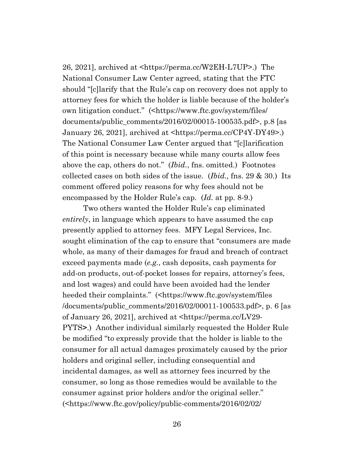26, 2021], archived at <https://perma.cc/W2EH-L7UP>.) The National Consumer Law Center agreed, stating that the FTC should "[c]larify that the Rule's cap on recovery does not apply to attorney fees for which the holder is liable because of the holder's own litigation conduct." (<https://www.ftc.gov/system/files/ documents/public\_comments/2016/02/00015-100535.pdf>, p.8 [as January 26, 2021], archived at <https://perma.cc/CP4Y-DY49>.) The National Consumer Law Center argued that "[c]larification of this point is necessary because while many courts allow fees above the cap, others do not." (*Ibid.*, fns. omitted.) Footnotes collected cases on both sides of the issue. (*Ibid.,* fns. 29 & 30.) Its comment offered policy reasons for why fees should not be encompassed by the Holder Rule's cap. (*Id.* at pp. 8-9.)

Two others wanted the Holder Rule's cap eliminated *entirely*, in language which appears to have assumed the cap presently applied to attorney fees. MFY Legal Services, Inc. sought elimination of the cap to ensure that "consumers are made whole, as many of their damages for fraud and breach of contract exceed payments made (*e.g.*, cash deposits, cash payments for add-on products, out-of-pocket losses for repairs, attorney's fees, and lost wages) and could have been avoided had the lender heeded their complaints." (<https://www.ftc.gov/system/files /documents/public\_comments/2016/02/00011-100533.pdf>, p. 6 [as of January 26, 2021], archived at <https://perma.cc/LV29- PYTS**>**.) Another individual similarly requested the Holder Rule be modified "to expressly provide that the holder is liable to the consumer for all actual damages proximately caused by the prior holders and original seller, including consequential and incidental damages, as well as attorney fees incurred by the consumer, so long as those remedies would be available to the consumer against prior holders and/or the original seller." (<https://www.ftc.gov/policy/public-comments/2016/02/02/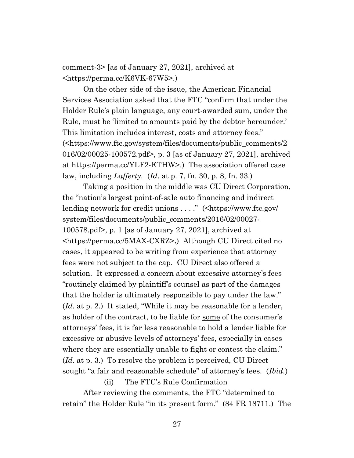comment-3> [as of January 27, 2021], archived at <https://perma.cc/K6VK-67W5>.)

On the other side of the issue, the American Financial Services Association asked that the FTC "confirm that under the Holder Rule's plain language, any court-awarded sum, under the Rule, must be 'limited to amounts paid by the debtor hereunder.' This limitation includes interest, costs and attorney fees." (<https://www.ftc.gov/system/files/documents/public\_comments/2 016/02/00025-100572.pdf>, p. 3 [as of January 27, 2021], archived at https://perma.cc/YLF2-ETHW>.) The association offered case law, including *Lafferty.* (*Id*. at p. 7, fn. 30, p. 8, fn. 33.)

Taking a position in the middle was CU Direct Corporation, the "nation's largest point-of-sale auto financing and indirect lending network for credit unions . . . ." (<https://www.ftc.gov/ system/files/documents/public\_comments/2016/02/00027- 100578.pdf>, p. 1 [as of January 27, 2021], archived at <https://perma.cc/5MAX-CXRZ>**.**) Although CU Direct cited no cases, it appeared to be writing from experience that attorney fees were not subject to the cap. CU Direct also offered a solution. It expressed a concern about excessive attorney's fees "routinely claimed by plaintiff's counsel as part of the damages that the holder is ultimately responsible to pay under the law." (*Id.* at p. 2.) It stated, "While it may be reasonable for a lender, as holder of the contract, to be liable for some of the consumer's attorneys' fees, it is far less reasonable to hold a lender liable for excessive or abusive levels of attorneys' fees, especially in cases where they are essentially unable to fight or contest the claim." (*Id.* at p. 3.) To resolve the problem it perceived, CU Direct sought "a fair and reasonable schedule" of attorney's fees. (*Ibid.*)

(ii) The FTC's Rule Confirmation

After reviewing the comments, the FTC "determined to retain" the Holder Rule "in its present form." (84 FR 18711.) The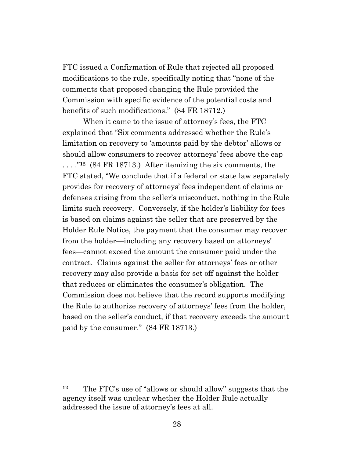FTC issued a Confirmation of Rule that rejected all proposed modifications to the rule, specifically noting that "none of the comments that proposed changing the Rule provided the Commission with specific evidence of the potential costs and benefits of such modifications." (84 FR 18712.)

When it came to the issue of attorney's fees, the FTC explained that "Six comments addressed whether the Rule's limitation on recovery to 'amounts paid by the debtor' allows or should allow consumers to recover attorneys' fees above the cap . . . ."**12** (84 FR 18713.) After itemizing the six comments, the FTC stated, "We conclude that if a federal or state law separately provides for recovery of attorneys' fees independent of claims or defenses arising from the seller's misconduct, nothing in the Rule limits such recovery. Conversely, if the holder's liability for fees is based on claims against the seller that are preserved by the Holder Rule Notice, the payment that the consumer may recover from the holder—including any recovery based on attorneys' fees—cannot exceed the amount the consumer paid under the contract. Claims against the seller for attorneys' fees or other recovery may also provide a basis for set off against the holder that reduces or eliminates the consumer's obligation. The Commission does not believe that the record supports modifying the Rule to authorize recovery of attorneys' fees from the holder, based on the seller's conduct, if that recovery exceeds the amount paid by the consumer." (84 FR 18713.)

**<sup>12</sup>** The FTC's use of "allows or should allow" suggests that the agency itself was unclear whether the Holder Rule actually addressed the issue of attorney's fees at all.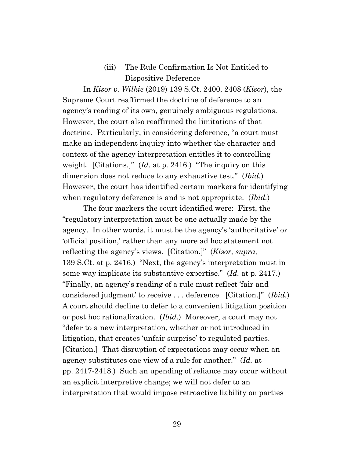# (iii) The Rule Confirmation Is Not Entitled to Dispositive Deference

In *Kisor v. Wilkie* (2019) 139 S.Ct. 2400, 2408 (*Kisor*), the Supreme Court reaffirmed the doctrine of deference to an agency's reading of its own, genuinely ambiguous regulations. However, the court also reaffirmed the limitations of that doctrine. Particularly, in considering deference, "a court must make an independent inquiry into whether the character and context of the agency interpretation entitles it to controlling weight. [Citations.]" (*Id.* at p. 2416.) "The inquiry on this dimension does not reduce to any exhaustive test." (*Ibid.*) However, the court has identified certain markers for identifying when regulatory deference is and is not appropriate. (*Ibid.*)

The four markers the court identified were: First, the "regulatory interpretation must be one actually made by the agency. In other words, it must be the agency's 'authoritative' or 'official position,' rather than any more ad hoc statement not reflecting the agency's views. [Citation.]" (*Kisor, supra,*  139 S.Ct. at p. 2416.) "Next, the agency's interpretation must in some way implicate its substantive expertise." (*Id.* at p. 2417.) "Finally, an agency's reading of a rule must reflect 'fair and considered judgment' to receive . . . deference. [Citation.]" (*Ibid.*) A court should decline to defer to a convenient litigation position or post hoc rationalization. (*Ibid.*) Moreover, a court may not "defer to a new interpretation, whether or not introduced in litigation, that creates 'unfair surprise' to regulated parties. [Citation.] That disruption of expectations may occur when an agency substitutes one view of a rule for another." (*Id.* at pp. 2417-2418.) Such an upending of reliance may occur without an explicit interpretive change; we will not defer to an interpretation that would impose retroactive liability on parties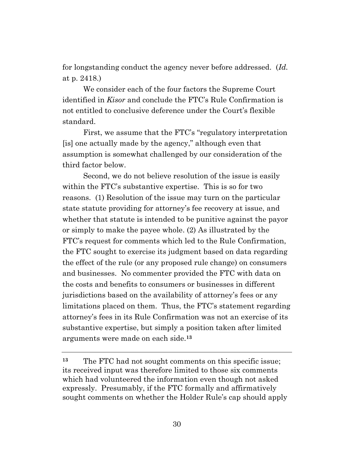for longstanding conduct the agency never before addressed. (*Id.*  at p. 2418.)

We consider each of the four factors the Supreme Court identified in *Kisor* and conclude the FTC's Rule Confirmation is not entitled to conclusive deference under the Court's flexible standard.

First, we assume that the FTC's "regulatory interpretation [is] one actually made by the agency," although even that assumption is somewhat challenged by our consideration of the third factor below.

Second, we do not believe resolution of the issue is easily within the FTC's substantive expertise. This is so for two reasons. (1) Resolution of the issue may turn on the particular state statute providing for attorney's fee recovery at issue, and whether that statute is intended to be punitive against the payor or simply to make the payee whole. (2) As illustrated by the FTC's request for comments which led to the Rule Confirmation, the FTC sought to exercise its judgment based on data regarding the effect of the rule (or any proposed rule change) on consumers and businesses. No commenter provided the FTC with data on the costs and benefits to consumers or businesses in different jurisdictions based on the availability of attorney's fees or any limitations placed on them. Thus, the FTC's statement regarding attorney's fees in its Rule Confirmation was not an exercise of its substantive expertise, but simply a position taken after limited arguments were made on each side.**<sup>13</sup>**

**<sup>13</sup>** The FTC had not sought comments on this specific issue; its received input was therefore limited to those six comments which had volunteered the information even though not asked expressly. Presumably, if the FTC formally and affirmatively sought comments on whether the Holder Rule's cap should apply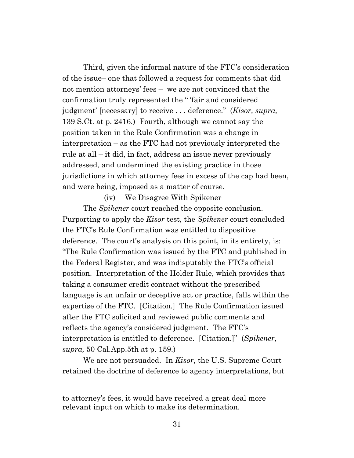Third, given the informal nature of the FTC's consideration of the issue– one that followed a request for comments that did not mention attorneys' fees – we are not convinced that the confirmation truly represented the " 'fair and considered judgment' [necessary] to receive . . . deference." (*Kisor, supra,*  139 S.Ct. at p. 2416.) Fourth, although we cannot say the position taken in the Rule Confirmation was a change in interpretation – as the FTC had not previously interpreted the rule at all – it did, in fact, address an issue never previously addressed, and undermined the existing practice in those jurisdictions in which attorney fees in excess of the cap had been, and were being, imposed as a matter of course.

(iv) We Disagree With Spikener

The *Spikener* court reached the opposite conclusion. Purporting to apply the *Kisor* test, the *Spikener* court concluded the FTC's Rule Confirmation was entitled to dispositive deference. The court's analysis on this point, in its entirety, is: "The Rule Confirmation was issued by the FTC and published in the Federal Register, and was indisputably the FTC's official position. Interpretation of the Holder Rule, which provides that taking a consumer credit contract without the prescribed language is an unfair or deceptive act or practice, falls within the expertise of the FTC. [Citation.] The Rule Confirmation issued after the FTC solicited and reviewed public comments and reflects the agency's considered judgment. The FTC's interpretation is entitled to deference. [Citation.]" (*Spikener, supra,* 50 Cal.App.5th at p. 159.)

We are not persuaded. In *Kisor*, the U.S. Supreme Court retained the doctrine of deference to agency interpretations, but

to attorney's fees, it would have received a great deal more relevant input on which to make its determination.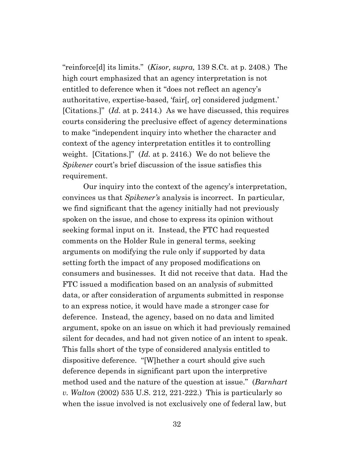"reinforce[d] its limits." (*Kisor, supra,* 139 S.Ct. at p. 2408.) The high court emphasized that an agency interpretation is not entitled to deference when it "does not reflect an agency's authoritative, expertise-based, 'fair[, or] considered judgment.' [Citations.]" (*Id.* at p. 2414.) As we have discussed, this requires courts considering the preclusive effect of agency determinations to make "independent inquiry into whether the character and context of the agency interpretation entitles it to controlling weight. [Citations.]" (*Id.* at p. 2416.) We do not believe the *Spikener* court's brief discussion of the issue satisfies this requirement.

Our inquiry into the context of the agency's interpretation, convinces us that *Spikener's* analysis is incorrect. In particular, we find significant that the agency initially had not previously spoken on the issue, and chose to express its opinion without seeking formal input on it. Instead, the FTC had requested comments on the Holder Rule in general terms, seeking arguments on modifying the rule only if supported by data setting forth the impact of any proposed modifications on consumers and businesses. It did not receive that data. Had the FTC issued a modification based on an analysis of submitted data, or after consideration of arguments submitted in response to an express notice, it would have made a stronger case for deference. Instead, the agency, based on no data and limited argument, spoke on an issue on which it had previously remained silent for decades, and had not given notice of an intent to speak. This falls short of the type of considered analysis entitled to dispositive deference. "[W]hether a court should give such deference depends in significant part upon the interpretive method used and the nature of the question at issue." (*Barnhart v. Walton* (2002) 535 U.S. 212, 221-222.) This is particularly so when the issue involved is not exclusively one of federal law, but